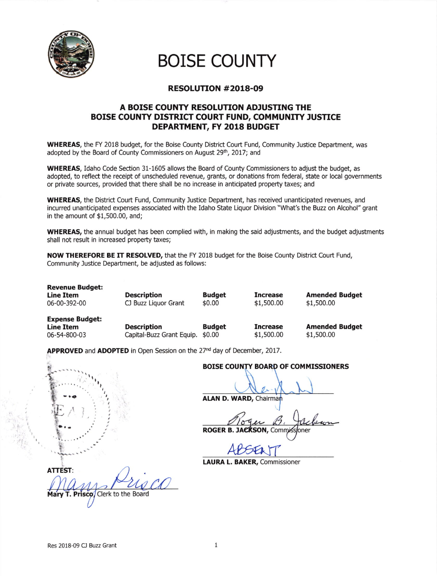

BOISE COUNTY

## RESOLUTTON #2018-09

## A BOISE COUNTY RESOLUTION ADJUSTING THE BOISE COUNTY DISTRICT COURT FUND, COMMUNITY JUSTICE DEPARTMENT, FY 2018 BUDGET

WHEREAS, the FY 2018 budget, for the Boise County District Court Fund, Community Justice Department, was adopted by the Board of County Commissioners on August 29th, 2017; and

wHEREAS, Idaho Code Section 31-1605 allows the Board of County Commissioners to adjust the budget, as adopted, to reflect the receipt of unscheduled revenue, grants, or donations from federal, state or local governments or private sources, provided that there shall be no increase in anticipated property taxes; and

WHEREAS, the District Court Fund, Community Justice Department, has received unanticipated revenues, and incurred unanticipated expenses associated with the Idaho State Liquor Division "What's the Buzz on Alcohol" grant in the amount of \$1,500.00, and;

WHEREAS, the annual budget has been complied with, in making the said adjustments, and the budget adjustments shall not result in increased property taxes;

NOW THEREFORE BE IT RESOLVED, that the FY 2018 budget for the Boise County District Court Fund, Community lustice Department, be adjusted as follows:

Revenue Budget: Line Item 06-00-392-00

**Description** CJ Buzz Liquor Grant

Budget \$0.00

Increase \$1,s00.00

Amended Budget \$1,s00.00

Expense Budget:

**Line Item Cescription Budget**<br>06-54-800-03 Capital-Buzz Grant Equip. \$0.00 Capital-Buzz Grant Equip. \$0.00

Increase \$1,500.00 Amended Budget \$1,500.00

APPROVED and ADOPTED in Open Session on the 27<sup>nd</sup> day of December, 2017.



## BOISE COUNTY BOARD OF COMMISSIONERS

ALAN D. WARD, Chairma

ROGER B. JACKSON, COMM

ABSENT

LAURA L. BAKER, Commissioner